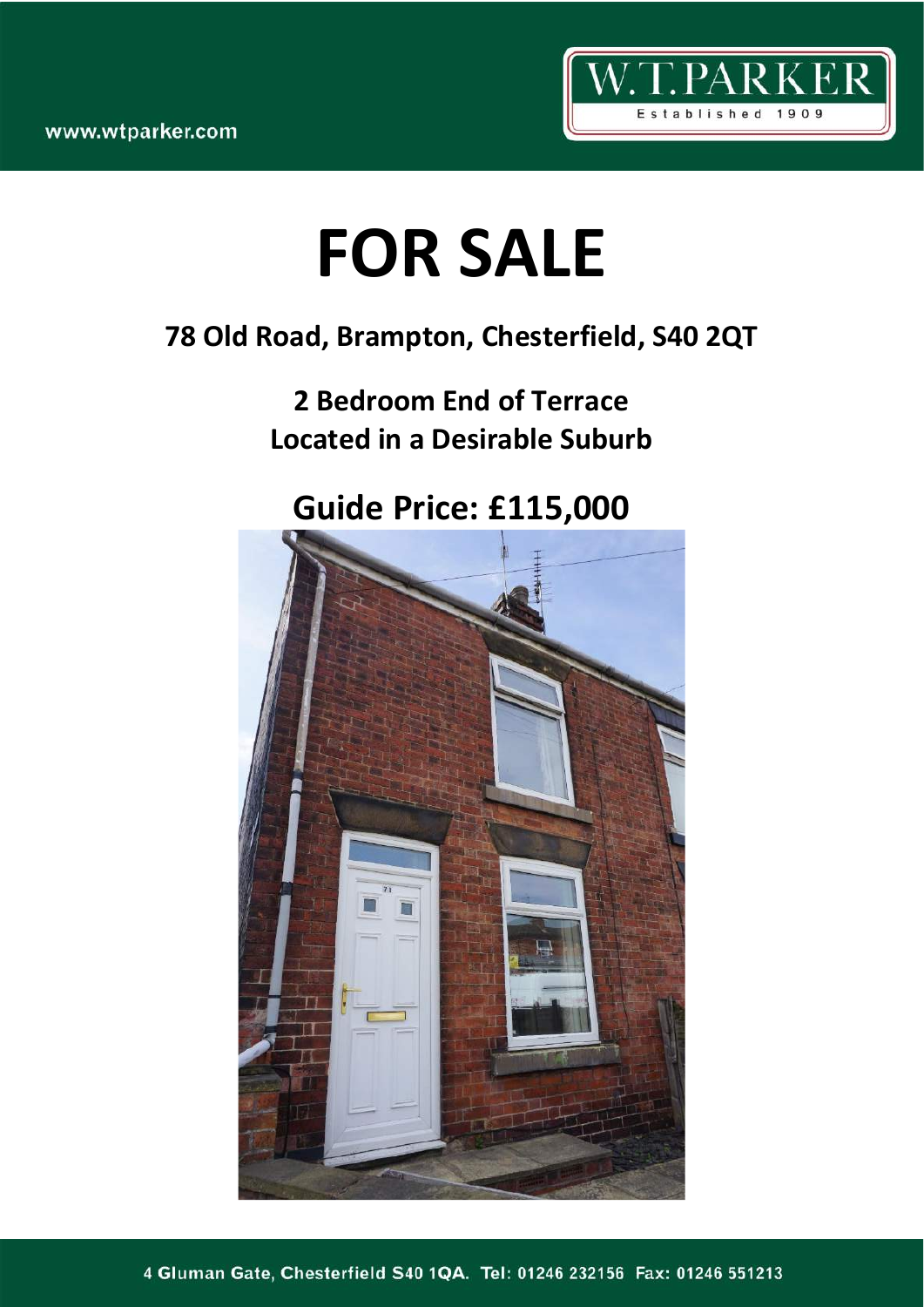

# **FOR SALE**

### **78 Old Road, Brampton, Chesterfield, S40 2QT**

## **2 Bedroom End of Terrace Located in a Desirable Suburb**

## **Guide Price: £115,000**

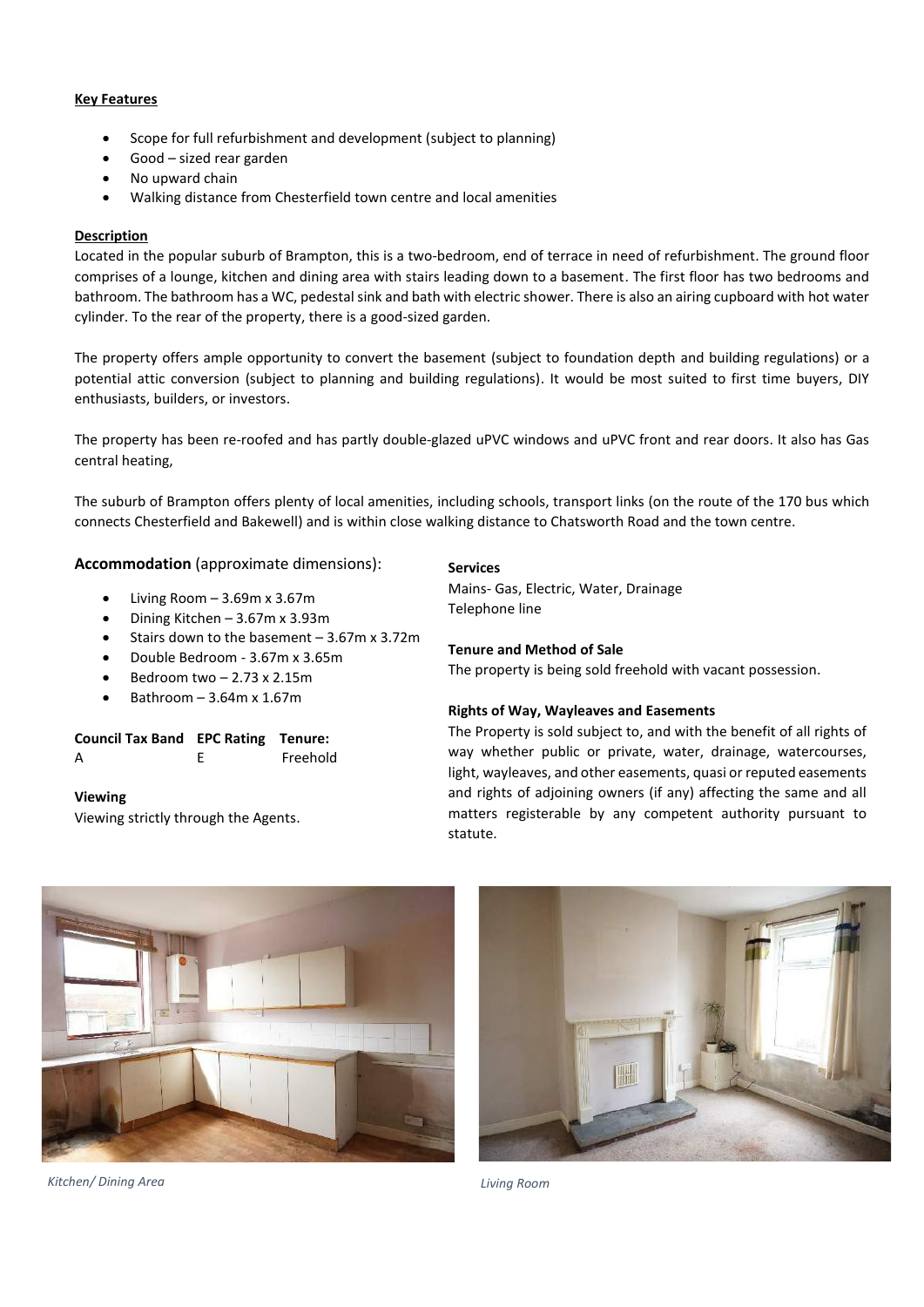#### **Key Features**

- Scope for full refurbishment and development (subject to planning)
- Good sized rear garden
- No upward chain
- Walking distance from Chesterfield town centre and local amenities

#### **Description**

Located in the popular suburb of Brampton, this is a two-bedroom, end of terrace in need of refurbishment. The ground floor comprises of a lounge, kitchen and dining area with stairs leading down to a basement. The first floor has two bedrooms and bathroom. The bathroom has a WC, pedestal sink and bath with electric shower. There is also an airing cupboard with hot water cylinder. To the rear of the property, there is a good-sized garden.

The property offers ample opportunity to convert the basement (subject to foundation depth and building regulations) or a potential attic conversion (subject to planning and building regulations). It would be most suited to first time buyers, DIY enthusiasts, builders, or investors.

The property has been re-roofed and has partly double-glazed uPVC windows and uPVC front and rear doors. It also has Gas central heating,

The suburb of Brampton offers plenty of local amenities, including schools, transport links (on the route of the 170 bus which connects Chesterfield and Bakewell) and is within close walking distance to Chatsworth Road and the town centre.

**Accommodation** (approximate dimensions):

- Living Room  $-3.69$ m x 3.67m
- Dining Kitchen 3.67m x 3.93m
- Stairs down to the basement 3.67m x 3.72m
- Double Bedroom 3.67m x 3.65m
- Bedroom two  $-2.73 \times 2.15$ m
- Bathroom 3.64m x 1.67m

| <b>Council Tax Band EPC Rating Tenure:</b> |          |
|--------------------------------------------|----------|
| A                                          | Freehold |

**Viewing** Viewing strictly through the Agents.

#### **Services**

Mains- Gas, Electric, Water, Drainage Telephone line

#### **Tenure and Method of Sale**

The property is being sold freehold with vacant possession.

#### **Rights of Way, Wayleaves and Easements**

The Property is sold subject to, and with the benefit of all rights of way whether public or private, water, drainage, watercourses, light, wayleaves, and other easements, quasi or reputed easements and rights of adjoining owners (if any) affecting the same and all matters registerable by any competent authority pursuant to statute.



*Kitchen/ Dining Area Living Room*